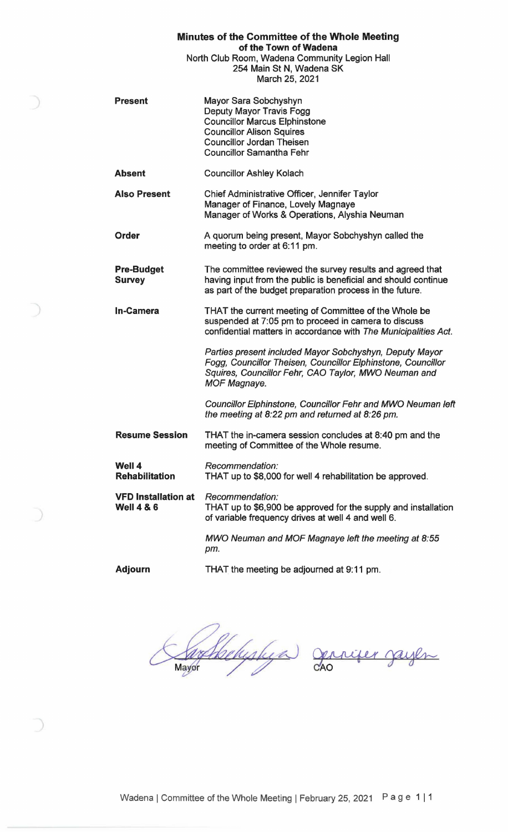| Minutes of the Committee of the Whole Meeting |
|-----------------------------------------------|
| of the Town of Wadena                         |
| North Club Room, Wadena Community Legion Hall |
| 254 Main St N, Wadena SK                      |

March 25, 2021

- Present Mayor Sara Sobchyshyn Deputy Mayor Travis Fogg Councillor Marcus Elphinstone Councillor Alison Squires Councillor Jordan Theisen Councillor Samantha Fehr
- **Absent**  Councillor Ashley Kolach
- **Also Present**  Chief Administrative Officer, Jennifer Taylor Manager of Finance, Lovely Magnaye Manager of Works & Operations, Alyshia Neuman
- **Order**  A quorum being present, Mayor Sobchyshyn called the meeting to order at 6: 11 pm.
- **Pre-Budget Survey**  The committee reviewed the survey results and agreed that having input from the public is beneficial and should continue as part of the budget preparation process in the future.
- **In-Camera**  THAT the current meeting of Committee of the Whole be suspended at 7:05 pm to proceed in camera to discuss confidential matters in accordance with The Municipalities Act.

Parties present included Mayor Sobchyshyn, Deputy Mayor Fogg, Councillor Theisen, Councillor Elphinstone, Councillor Squires, Councillor Fehr, CAO Taylor, MWO Neuman and MOF Magnaye.

Councillor Elphinstone, Councillor Fehr and MWO Neuman left the meeting at 8:22 pm and returned at 8:26 pm.

**Resume Session** THAT the in-camera session concludes at 8:40 pm and the meeting of Committee of the Whole resume.

- **Well 4 Rehabilitation**  Recommendation: THAT up to \$8,000 for well 4 rehabilitation be approved.
- **VFD Installation at Well 4** & **6**  Recommendation: THAT up to \$6,900 be approved for the supply and installation of variable frequency drives at well 4 and well 6.

MWO Neuman and MOF Magnaye left the meeting at 8:55 pm.

**Adjourn** 

THAT the meeting be adjourned at 9: 11 pm.

rehistega Mayor

Jerrifer jayen